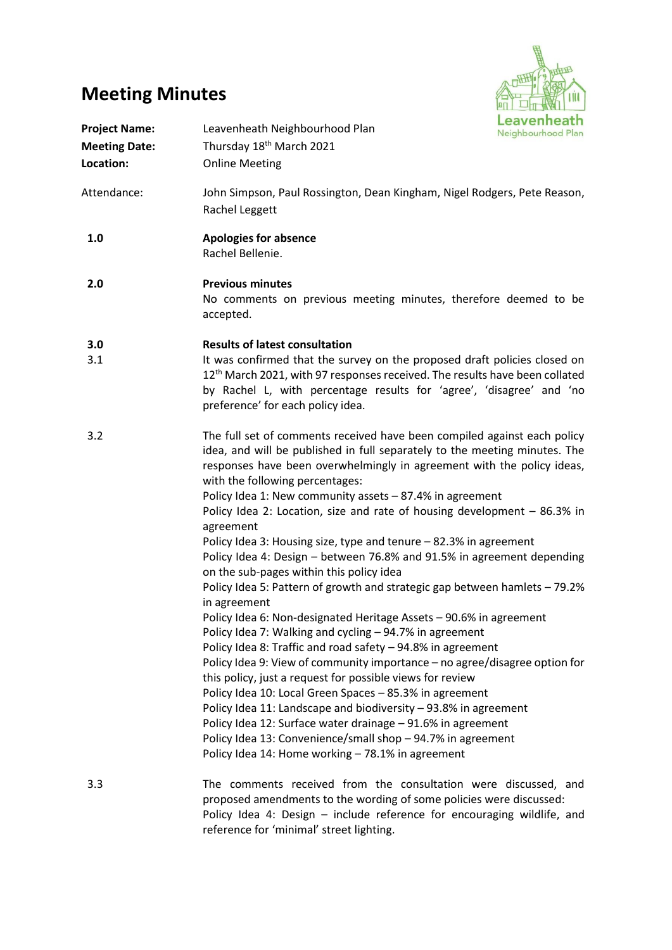# **Meeting Minutes**



| <b>Project Name:</b><br><b>Meeting Date:</b><br>Location: | Leavenheath Neighbourhood Plan<br>Thursday 18 <sup>th</sup> March 2021<br><b>Online Meeting</b>                                                                                                                                                                                                                                                                                                                                                                                               | Leavenheath<br>Neighbourhood Plan |
|-----------------------------------------------------------|-----------------------------------------------------------------------------------------------------------------------------------------------------------------------------------------------------------------------------------------------------------------------------------------------------------------------------------------------------------------------------------------------------------------------------------------------------------------------------------------------|-----------------------------------|
| Attendance:                                               | John Simpson, Paul Rossington, Dean Kingham, Nigel Rodgers, Pete Reason,<br>Rachel Leggett                                                                                                                                                                                                                                                                                                                                                                                                    |                                   |
| 1.0                                                       | <b>Apologies for absence</b><br>Rachel Bellenie.                                                                                                                                                                                                                                                                                                                                                                                                                                              |                                   |
| 2.0                                                       | <b>Previous minutes</b><br>No comments on previous meeting minutes, therefore deemed to be<br>accepted.                                                                                                                                                                                                                                                                                                                                                                                       |                                   |
| 3.0                                                       | <b>Results of latest consultation</b>                                                                                                                                                                                                                                                                                                                                                                                                                                                         |                                   |
| 3.1                                                       | It was confirmed that the survey on the proposed draft policies closed on<br>12 <sup>th</sup> March 2021, with 97 responses received. The results have been collated<br>by Rachel L, with percentage results for 'agree', 'disagree' and 'no<br>preference' for each policy idea.                                                                                                                                                                                                             |                                   |
| 3.2                                                       | The full set of comments received have been compiled against each policy<br>idea, and will be published in full separately to the meeting minutes. The<br>responses have been overwhelmingly in agreement with the policy ideas,<br>with the following percentages:<br>Policy Idea 1: New community assets - 87.4% in agreement<br>Policy Idea 2: Location, size and rate of housing development - 86.3% in<br>agreement<br>Policy Idea 3: Housing size, type and tenure - 82.3% in agreement |                                   |
|                                                           | Policy Idea 4: Design - between 76.8% and 91.5% in agreement depending<br>on the sub-pages within this policy idea                                                                                                                                                                                                                                                                                                                                                                            |                                   |
|                                                           | Policy Idea 5: Pattern of growth and strategic gap between hamlets - 79.2%<br>in agreement                                                                                                                                                                                                                                                                                                                                                                                                    |                                   |
|                                                           | Policy Idea 6: Non-designated Heritage Assets - 90.6% in agreement<br>Policy Idea 7: Walking and cycling - 94.7% in agreement                                                                                                                                                                                                                                                                                                                                                                 |                                   |
|                                                           | Policy Idea 8: Traffic and road safety - 94.8% in agreement                                                                                                                                                                                                                                                                                                                                                                                                                                   |                                   |
|                                                           | Policy Idea 9: View of community importance - no agree/disagree option for<br>this policy, just a request for possible views for review                                                                                                                                                                                                                                                                                                                                                       |                                   |
|                                                           | Policy Idea 10: Local Green Spaces - 85.3% in agreement                                                                                                                                                                                                                                                                                                                                                                                                                                       |                                   |
|                                                           | Policy Idea 11: Landscape and biodiversity - 93.8% in agreement                                                                                                                                                                                                                                                                                                                                                                                                                               |                                   |
|                                                           | Policy Idea 12: Surface water drainage - 91.6% in agreement                                                                                                                                                                                                                                                                                                                                                                                                                                   |                                   |
|                                                           | Policy Idea 13: Convenience/small shop - 94.7% in agreement<br>Policy Idea 14: Home working - 78.1% in agreement                                                                                                                                                                                                                                                                                                                                                                              |                                   |
| 3.3                                                       | The comments received from the consultation were discussed, and<br>proposed amendments to the wording of some policies were discussed:                                                                                                                                                                                                                                                                                                                                                        |                                   |

Policy Idea 4: Design – include reference for encouraging wildlife, and reference for 'minimal' street lighting.